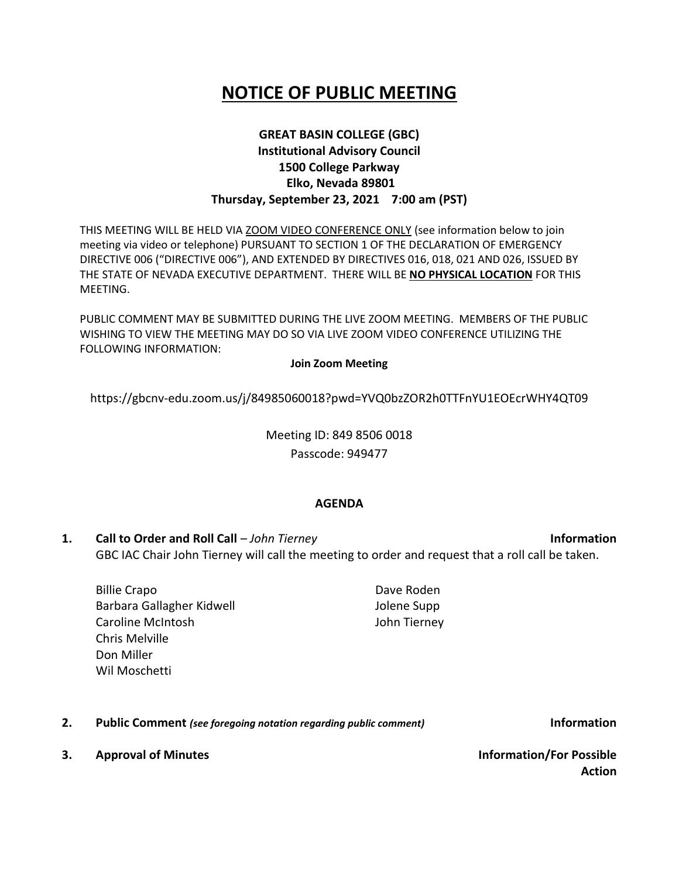# **NOTICE OF PUBLIC MEETING**

# **GREAT BASIN COLLEGE (GBC) Institutional Advisory Council 1500 College Parkway Elko, Nevada 89801 Thursday, September 23, 2021 7:00 am (PST)**

THIS MEETING WILL BE HELD VIA ZOOM VIDEO CONFERENCE ONLY (see information below to join meeting via video or telephone) PURSUANT TO SECTION 1 OF THE DECLARATION OF EMERGENCY DIRECTIVE 006 ("DIRECTIVE 006"), AND EXTENDED BY DIRECTIVES 016, 018, 021 AND 026, ISSUED BY THE STATE OF NEVADA EXECUTIVE DEPARTMENT. THERE WILL BE **NO PHYSICAL LOCATION** FOR THIS MEETING.

PUBLIC COMMENT MAY BE SUBMITTED DURING THE LIVE ZOOM MEETING. MEMBERS OF THE PUBLIC WISHING TO VIEW THE MEETING MAY DO SO VIA LIVE ZOOM VIDEO CONFERENCE UTILIZING THE FOLLOWING INFORMATION:

#### **Join Zoom Meeting**

https://gbcnv-edu.zoom.us/j/84985060018?pwd=YVQ0bzZOR2h0TTFnYU1EOEcrWHY4QT09

Meeting ID: 849 8506 0018 Passcode: 949477

#### **AGENDA**

**1. Call to Order and Roll Call** – *John Tierney* **Information** GBC IAC Chair John Tierney will call the meeting to order and request that a roll call be taken.

Billie Crapo Barbara Gallagher Kidwell Caroline McIntosh Chris Melville Don Miller Wil Moschetti

Dave Roden Jolene Supp John Tierney

**2. Public Comment** *(see foregoing notation regarding public comment)* **Information**

**3. Approval of Minutes Information/For Possible Action**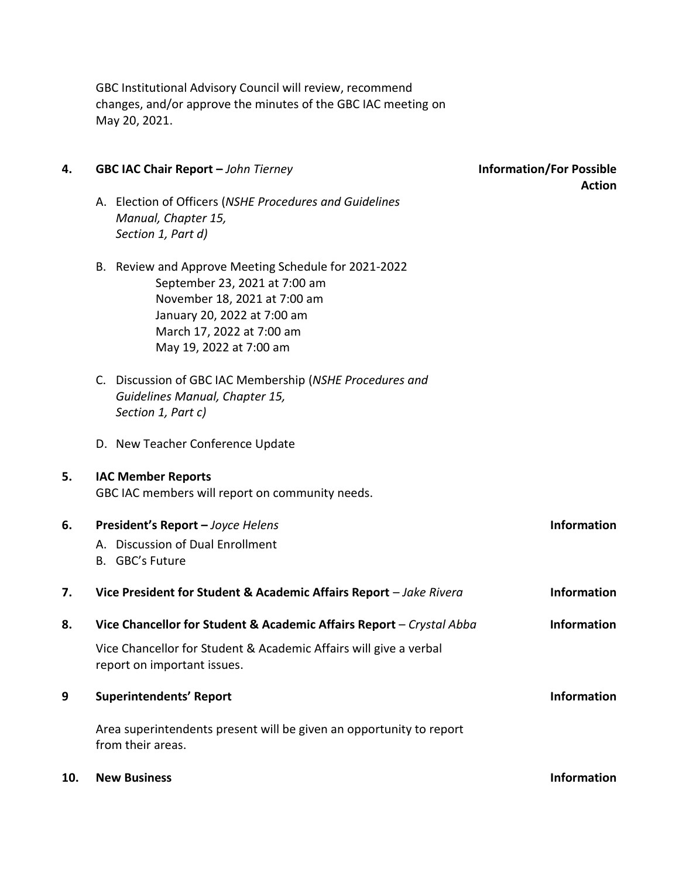GBC Institutional Advisory Council will review, recommend changes, and/or approve the minutes of the GBC IAC meeting on May 20, 2021.

| 4.  | GBC IAC Chair Report - John Tierney                                                                                                                                                                          | <b>Information/For Possible</b><br><b>Action</b> |
|-----|--------------------------------------------------------------------------------------------------------------------------------------------------------------------------------------------------------------|--------------------------------------------------|
|     | A. Election of Officers (NSHE Procedures and Guidelines<br>Manual, Chapter 15,<br>Section 1, Part d)                                                                                                         |                                                  |
|     | B. Review and Approve Meeting Schedule for 2021-2022<br>September 23, 2021 at 7:00 am<br>November 18, 2021 at 7:00 am<br>January 20, 2022 at 7:00 am<br>March 17, 2022 at 7:00 am<br>May 19, 2022 at 7:00 am |                                                  |
|     | C. Discussion of GBC IAC Membership (NSHE Procedures and<br>Guidelines Manual, Chapter 15,<br>Section 1, Part c)                                                                                             |                                                  |
|     | D. New Teacher Conference Update                                                                                                                                                                             |                                                  |
| 5.  | <b>IAC Member Reports</b><br>GBC IAC members will report on community needs.                                                                                                                                 |                                                  |
| 6.  | President's Report - Joyce Helens<br>A. Discussion of Dual Enrollment<br>B. GBC's Future                                                                                                                     | <b>Information</b>                               |
| 7.  | Vice President for Student & Academic Affairs Report - Jake Rivera                                                                                                                                           | <b>Information</b>                               |
| 8.  | Vice Chancellor for Student & Academic Affairs Report - Crystal Abba                                                                                                                                         | <b>Information</b>                               |
|     | Vice Chancellor for Student & Academic Affairs will give a verbal<br>report on important issues.                                                                                                             |                                                  |
| 9   | <b>Superintendents' Report</b>                                                                                                                                                                               | <b>Information</b>                               |
|     | Area superintendents present will be given an opportunity to report<br>from their areas.                                                                                                                     |                                                  |
| 10. | <b>New Business</b>                                                                                                                                                                                          | <b>Information</b>                               |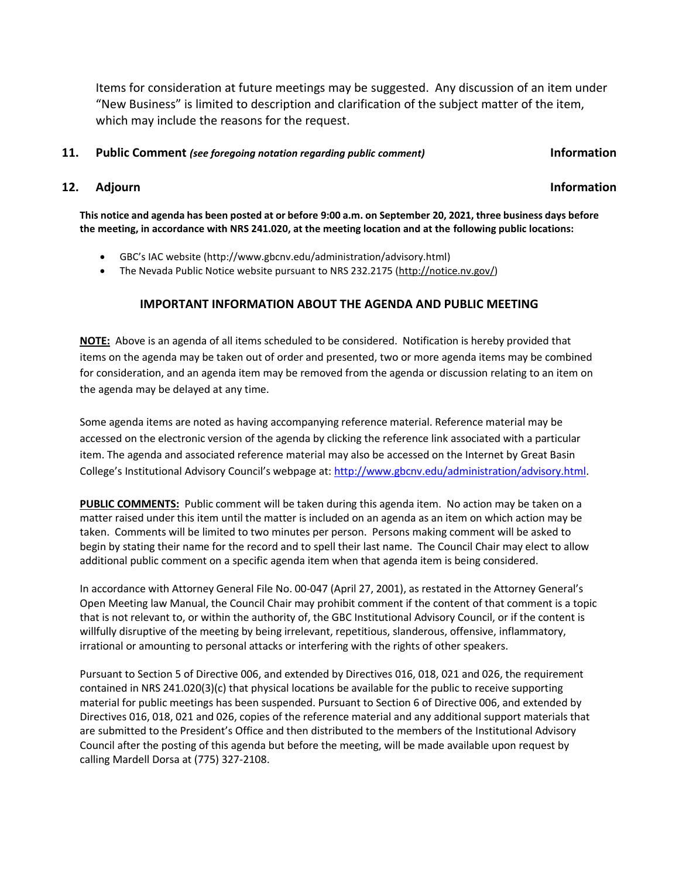Items for consideration at future meetings may be suggested. Any discussion of an item under "New Business" is limited to description and clarification of the subject matter of the item, which may include the reasons for the request.

#### **11. Public Comment** *(see foregoing notation regarding public comment)* **Information**

## **12.** Adjourn **Information**

**This notice and agenda has been posted at or before 9:00 a.m. on September 20, 2021, three business days before the meeting, in accordance with NRS 241.020, at the meeting location and at the following public locations:**

- GBC's IAC website (http://www.gbcnv.edu/administration/advisory.html)
- The Nevada Public Notice website pursuant to NRS 232.2175 [\(http://notice.nv.gov/\)](http://notice.nv.gov/)

### **IMPORTANT INFORMATION ABOUT THE AGENDA AND PUBLIC MEETING**

**NOTE:** Above is an agenda of all items scheduled to be considered. Notification is hereby provided that items on the agenda may be taken out of order and presented, two or more agenda items may be combined for consideration, and an agenda item may be removed from the agenda or discussion relating to an item on the agenda may be delayed at any time.

Some agenda items are noted as having accompanying reference material. Reference material may be accessed on the electronic version of the agenda by clicking the reference link associated with a particular item. The agenda and associated reference material may also be accessed on the Internet by Great Basin College's Institutional Advisory Council's webpage at: [http://www.gbcnv.edu/administration/advisory.html.](http://www.gbcnv.edu/administration/advisory.html)

**PUBLIC COMMENTS:** Public comment will be taken during this agenda item. No action may be taken on a matter raised under this item until the matter is included on an agenda as an item on which action may be taken. Comments will be limited to two minutes per person. Persons making comment will be asked to begin by stating their name for the record and to spell their last name. The Council Chair may elect to allow additional public comment on a specific agenda item when that agenda item is being considered.

In accordance with Attorney General File No. 00-047 (April 27, 2001), as restated in the Attorney General's Open Meeting law Manual, the Council Chair may prohibit comment if the content of that comment is a topic that is not relevant to, or within the authority of, the GBC Institutional Advisory Council, or if the content is willfully disruptive of the meeting by being irrelevant, repetitious, slanderous, offensive, inflammatory, irrational or amounting to personal attacks or interfering with the rights of other speakers.

Pursuant to Section 5 of Directive 006, and extended by Directives 016, 018, 021 and 026, the requirement contained in NRS 241.020(3)(c) that physical locations be available for the public to receive supporting material for public meetings has been suspended. Pursuant to Section 6 of Directive 006, and extended by Directives 016, 018, 021 and 026, copies of the reference material and any additional support materials that are submitted to the President's Office and then distributed to the members of the Institutional Advisory Council after the posting of this agenda but before the meeting, will be made available upon request by calling Mardell Dorsa at (775) 327-2108.